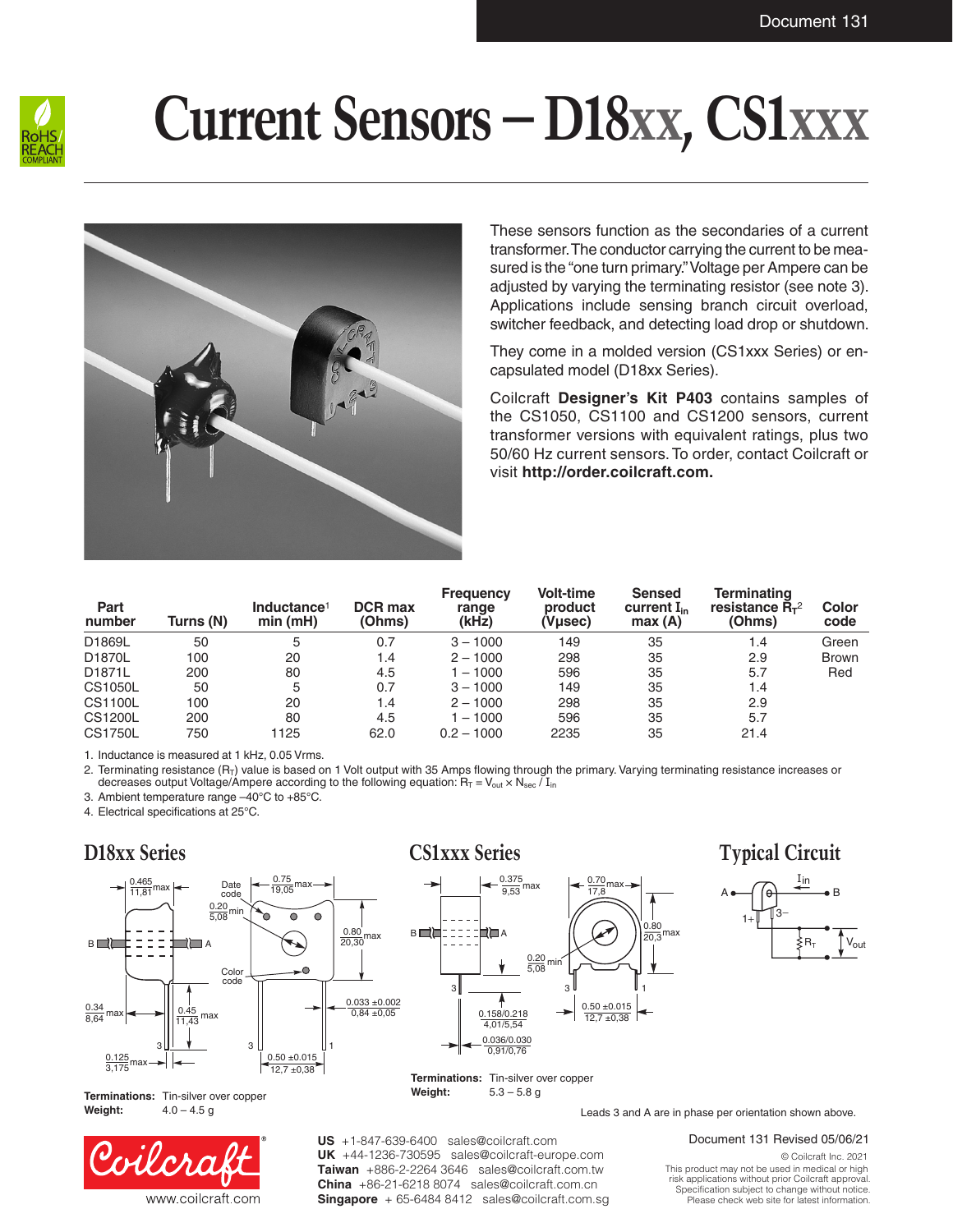

# **Current Sensors – D18xx, CS1xxx**



These sensors function as the secondaries of a current transformer. The conductor carrying the current to be measured is the "one turn primary." Voltage per Ampere can be adjusted by varying the terminating resistor (see note 3). Applications include sensing branch circuit overload, switcher feedback, and detecting load drop or shutdown.

They come in a molded version (CS1xxx Series) or encapsulated model (D18xx Series).

Coilcraft **Designer's Kit P403** contains samples of the CS1050, CS1100 and CS1200 sensors, current transformer versions with equivalent ratings, plus two 50/60 Hz current sensors. To order, contact Coilcraft or visit **http://order.coilcraft.com.**

| Part<br>number | Turns (N) | Inductance <sup>1</sup><br>min(mH) | <b>DCR max</b><br>(Ohms) | <b>Frequency</b><br>range<br>(kHz) | <b>Volt-time</b><br>product<br>(Vµsec) | <b>Sensed</b><br>current $I_{in}$<br>max(A) | Terminating<br>resistance $R_{\tau^2}$<br>(Ohms) | Color<br>code |
|----------------|-----------|------------------------------------|--------------------------|------------------------------------|----------------------------------------|---------------------------------------------|--------------------------------------------------|---------------|
| D1869L         | 50        | 5                                  | 0.7                      | $3 - 1000$                         | 149                                    | 35                                          | 1.4                                              | Green         |
| D1870L         | 100       | 20                                 | 1.4                      | $2 - 1000$                         | 298                                    | 35                                          | 2.9                                              | <b>Brown</b>  |
| D1871L         | 200       | 80                                 | 4.5                      | $-1000$                            | 596                                    | 35                                          | 5.7                                              | Red           |
| CS1050L        | 50        | 5                                  | 0.7                      | $3 - 1000$                         | 149                                    | 35                                          | 1.4                                              |               |
| CS1100L        | 100       | 20                                 | 1.4                      | $2 - 1000$                         | 298                                    | 35                                          | 2.9                                              |               |
| CS1200L        | 200       | 80                                 | 4.5                      | $-1000$                            | 596                                    | 35                                          | 5.7                                              |               |
| <b>CS1750L</b> | 750       | 1125                               | 62.0                     | $0.2 - 1000$                       | 2235                                   | 35                                          | 21.4                                             |               |

1. Inductance is measured at 1 kHz, 0.05 Vrms.

2. Terminating resistance (R<sub>T</sub>) value is based on 1 Volt output with 35 Amps flowing through the primary. Varying terminating resistance increases or decreases output Voltage/Ampere according to the following equation:  $R_T = V_{out} \times N_{sec} / I_{in}$ 

3. Ambient temperature range –40°C to +85°C.

4. Electrical specifications at 25°C.

## **D18xx Series**



**Terminations:** Tin-silver over copper **Weight:** 4.0 – 4.5 g



#### **CS1xxx Series**



## **Typical Circuit**



Leads 3 and A are in phase per orientation shown above.

**US** +1-847-639-6400 sales@coilcraft.com +44-1236-730595 sales@coilcraft-europe.com **UK** +886-2-2264 3646 sales@coilcraft.com.tw **Taiwan** +86-21-6218 8074 sales@coilcraft.com.cn **China** Singapore + 65-6484 8412 sales@coilcraft.com.sg Document 131 Revised 05/06/21

© Coilcraft Inc. 2021 This product may not be used in medical or high risk applications without prior Coilcraft approval. Specification subject to change without notice. Please check web site for latest information.